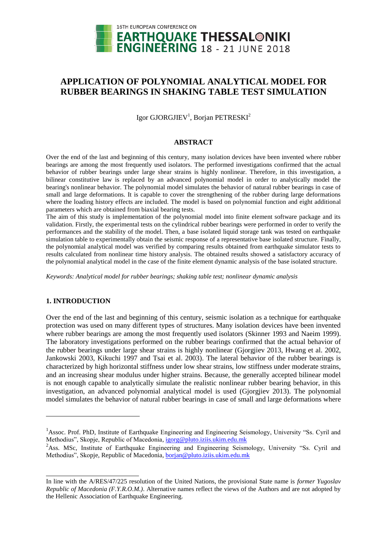

# **APPLICATION OF POLYNOMIAL ANALYTICAL MODEL FOR RUBBER BEARINGS IN SHAKING TABLE TEST SIMULATION**

Igor GJORGJIEV<sup>1</sup>, Borjan PETRESKI<sup>2</sup>

### **ABSTRACT**

Over the end of the last and beginning of this century, many isolation devices have been invented where rubber bearings are among the most frequently used isolators. The performed investigations confirmed that the actual behavior of rubber bearings under large shear strains is highly nonlinear. Therefore, in this investigation, a bilinear constitutive law is replaced by an advanced polynomial model in order to analytically model the bearing's nonlinear behavior. The polynomial model simulates the behavior of natural rubber bearings in case of small and large deformations. It is capable to cover the strengthening of the rubber during large deformations where the loading history effects are included. The model is based on polynomial function and eight additional parameters which are obtained from biaxial bearing tests.

The aim of this study is implementation of the polynomial model into finite element software package and its validation. Firstly, the experimental tests on the cylindrical rubber bearings were performed in order to verify the performances and the stability of the model. Then, a base isolated liquid storage tank was tested on earthquake simulation table to experimentally obtain the seismic response of a representative base isolated structure. Finally, the polynomial analytical model was verified by comparing results obtained from earthquake simulator tests to results calculated from nonlinear time history analysis. The obtained results showed a satisfactory accuracy of the polynomial analytical model in the case of the finite element dynamic analysis of the base isolated structure.

*Keywords: Analytical model for rubber bearings; shaking table test; nonlinear dynamic analysis*

# **1. INTRODUCTION**

l

Over the end of the last and beginning of this century, seismic isolation as a technique for earthquake protection was used on many different types of structures. Many isolation devices have been invented where rubber bearings are among the most frequently used isolators (Skinner 1993 and Naeim 1999). The laboratory investigations performed on the rubber bearings confirmed that the actual behavior of the rubber bearings under large shear strains is highly nonlinear (Gjorgjiev 2013, Hwang et al. 2002, Jankowski 2003, Kikuchi 1997 and Tsai et al. 2003). The lateral behavior of the rubber bearings is characterized by high horizontal stiffness under low shear strains, low stiffness under moderate strains, and an increasing shear modulus under higher strains. Because, the generally accepted bilinear model is not enough capable to analytically simulate the realistic nonlinear rubber bearing behavior, in this investigation, an advanced polynomial analytical model is used (Gjorgjiev 2013). The polynomial model simulates the behavior of natural rubber bearings in case of small and large deformations where

<sup>&</sup>lt;sup>1</sup>Assoc. Prof. PhD, Institute of Earthquake Engineering and Engineering Seismology, University "Ss. Cyril and Methodius", Skopje, Republic of Macedonia, igorg@pluto.iziis.ukim.edu.mk

<sup>&</sup>lt;sup>2</sup>Ass. MSc, Institute of Earthquake Engineering and Engineering Seismology, University "Ss. Cyril and Methodius", Skopje, Republic of Macedonia[, borjan@p](mailto:emailaddress@canterbury.ac.nz)luto.iziis.ukim.edu.mk

In line with the A/RES/47/225 resolution of the United Nations, the provisional State name is *former Yugoslav Republic of Macedonia (F.Y.R.O.M.)*. Alternative names reflect the views of the Authors and are not adopted by the Hellenic Association of Earthquake Engineering.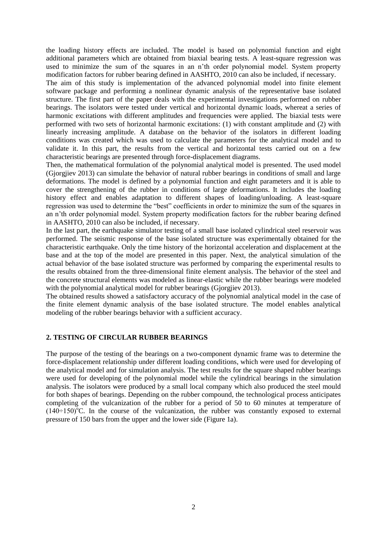the loading history effects are included. The model is based on polynomial function and eight additional parameters which are obtained from biaxial bearing tests. A least-square regression was used to minimize the sum of the squares in an n'th order polynomial model. System property modification factors for rubber bearing defined in AASHTO, 2010 can also be included, if necessary.

The aim of this study is implementation of the advanced polynomial model into finite element software package and performing a nonlinear dynamic analysis of the representative base isolated structure. The first part of the paper deals with the experimental investigations performed on rubber bearings. The isolators were tested under vertical and horizontal dynamic loads, whereat a series of harmonic excitations with different amplitudes and frequencies were applied. The biaxial tests were performed with two sets of horizontal harmonic excitations: (1) with constant amplitude and (2) with linearly increasing amplitude. A database on the behavior of the isolators in different loading conditions was created which was used to calculate the parameters for the analytical model and to validate it. In this part, the results from the vertical and horizontal tests carried out on a few characteristic bearings are presented through force-displacement diagrams.

Then, the mathematical formulation of the polynomial analytical model is presented. The used model (Gjorgjiev 2013) can simulate the behavior of natural rubber bearings in conditions of small and large deformations. The model is defined by a polynomial function and eight parameters and it is able to cover the strengthening of the rubber in conditions of large deformations. It includes the loading history effect and enables adaptation to different shapes of loading/unloading. A least-square regression was used to determine the "best" coefficients in order to minimize the sum of the squares in an n'th order polynomial model. System property modification factors for the rubber bearing defined in AASHTO, 2010 can also be included, if necessary.

In the last part, the earthquake simulator testing of a small base isolated cylindrical steel reservoir was performed. The seismic response of the base isolated structure was experimentally obtained for the characteristic earthquake. Only the time history of the horizontal acceleration and displacement at the base and at the top of the model are presented in this paper. Next, the analytical simulation of the actual behavior of the base isolated structure was performed by comparing the experimental results to the results obtained from the three-dimensional finite element analysis. The behavior of the steel and the concrete structural elements was modeled as linear-elastic while the rubber bearings were modeled with the polynomial analytical model for rubber bearings (Giorgiiev 2013).

The obtained results showed a satisfactory accuracy of the polynomial analytical model in the case of the finite element dynamic analysis of the base isolated structure. The model enables analytical modeling of the rubber bearings behavior with a sufficient accuracy.

# **2. TESTING OF CIRCULAR RUBBER BEARINGS**

The purpose of the testing of the bearings on a two-component dynamic frame was to determine the force-displacement relationship under different loading conditions, which were used for developing of the analytical model and for simulation analysis. The test results for the square shaped rubber bearings were used for developing of the polynomial model while the cylindrical bearings in the simulation analysis. The isolators were produced by a small local company which also produced the steel mould for both shapes of bearings. Depending on the rubber compound, the technological process anticipates completing of the vulcanization of the rubber for a period of 50 to 60 minutes at temperature of  $(140 \div 150)$ <sup>o</sup>C. In the course of the vulcanization, the rubber was constantly exposed to external pressure of 150 bars from the upper and the lower side (Figure 1a).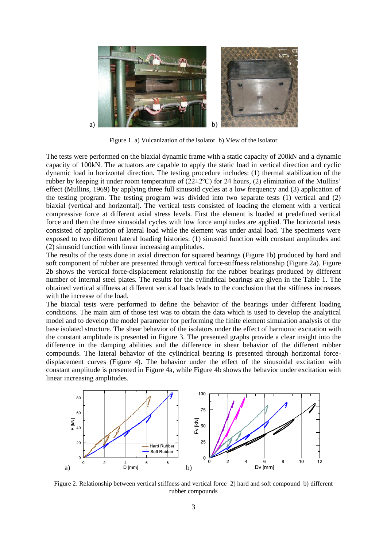

Figure 1. a) Vulcanization of the isolator b) View of the isolator

The tests were performed on the biaxial dynamic frame with a static capacity of 200kN and a dynamic capacity of 100kN. The actuators are capable to apply the static load in vertical direction and cyclic dynamic load in horizontal direction. The testing procedure includes: (1) thermal stabilization of the rubber by keeping it under room temperature of (22±2ºC) for 24 hours, (2) elimination of the Mullins' effect (Mullins, 1969) by applying three full sinusoid cycles at a low frequency and (3) application of the testing program. The testing program was divided into two separate tests (1) vertical and (2) biaxial (vertical and horizontal). The vertical tests consisted of loading the element with a vertical compressive force at different axial stress levels. First the element is loaded at predefined vertical force and then the three sinusoidal cycles with low force amplitudes are applied. The horizontal tests consisted of application of lateral load while the element was under axial load. The specimens were exposed to two different lateral loading histories: (1) sinusoid function with constant amplitudes and (2) sinusoid function with linear increasing amplitudes.

The results of the tests done in axial direction for squared bearings (Figure 1b) produced by hard and soft component of rubber are presented through vertical force-stiffness relationship (Figure 2a). Figure 2b shows the vertical force-displacement relationship for the rubber bearings produced by different number of internal steel plates. The results for the cylindrical bearings are given in the Table 1. The obtained vertical stiffness at different vertical loads leads to the conclusion that the stiffness increases with the increase of the load.

The biaxial tests were performed to define the behavior of the bearings under different loading conditions. The main aim of those test was to obtain the data which is used to develop the analytical model and to develop the model parameter for performing the finite element simulation analysis of the base isolated structure. The shear behavior of the isolators under the effect of harmonic excitation with the constant amplitude is presented in Figure 3. The presented graphs provide a clear insight into the difference in the damping abilities and the difference in shear behavior of the different rubber compounds. The lateral behavior of the cylindrical bearing is presented through horizontal forcedisplacement curves (Figure 4). The behavior under the effect of the sinusoidal excitation with constant amplitude is presented in Figure 4a, while Figure 4b shows the behavior under excitation with linear increasing amplitudes.



Figure 2. Relationship between vertical stiffness and vertical force 2) hard and soft compound b) different rubber compounds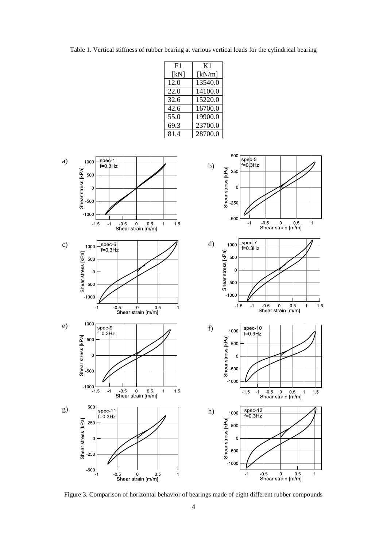Table 1. Vertical stiffness of rubber bearing at various vertical loads for the cylindrical bearing

| F1   | K1      |  |  |  |  |
|------|---------|--|--|--|--|
| [kN] | [kN/m]  |  |  |  |  |
| 12.0 | 13540.0 |  |  |  |  |
| 22.0 | 14100.0 |  |  |  |  |
| 32.6 | 15220.0 |  |  |  |  |
| 42.6 | 16700.0 |  |  |  |  |
| 55.0 | 19900.0 |  |  |  |  |
| 69.3 | 23700.0 |  |  |  |  |
| 81.4 | 28700.0 |  |  |  |  |



Figure 3. Comparison of horizontal behavior of bearings made of eight different rubber compounds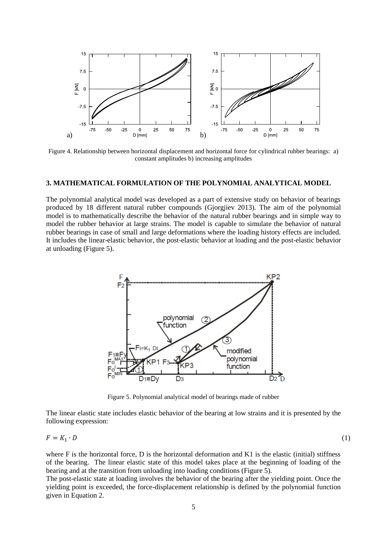

Figure 4. Relationship between horizontal displacement and horizontal force for cylindrical rubber bearings: a) constant amplitudes b) increasing amplitudes

### **3. MATHEMATICAL FORMULATION OF THE POLYNOMIAL ANALYTICAL MODEL**

The polynomial analytical model was developed as a part of extensive study on behavior of bearings produced by 18 different natural rubber compounds (Gjorgjiev 2013). The aim of the polynomial model is to mathematically describe the behavior of the natural rubber bearings and in simple way to model the rubber behavior at large strains. The model is capable to simulate the behavior of natural rubber bearings in case of small and large deformations where the loading history effects are included. It includes the linear-elastic behavior, the post-elastic behavior at loading and the post-elastic behavior at unloading (Figure 5).



Figure 5. Polynomial analytical model of bearings made of rubber

The linear elastic state includes elastic behavior of the bearing at low strains and it is presented by the following expression:

$$
F = K_1 \cdot D \tag{1}
$$

where  $F$  is the horizontal force,  $D$  is the horizontal deformation and  $K1$  is the elastic (initial) stiffness of the bearing. The linear elastic state of this model takes place at the beginning of loading of the bearing and at the transition from unloading into loading conditions (Figure 5).

The post-elastic state at loading involves the behavior of the bearing after the yielding point. Once the yielding point is exceeded, the force-displacement relationship is defined by the polynomial function given in Equation 2.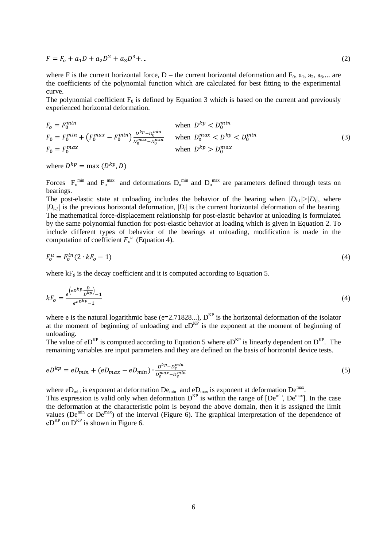$$
F = F_0 + a_1 D + a_2 D^2 + a_3 D^3 + \dots \tag{2}
$$

where F is the current horizontal force, D – the current horizontal deformation and  $F_0$ ,  $a_1$ ,  $a_2$ ,  $a_3$ ,... are the coefficients of the polynomial function which are calculated for best fitting to the experimental curve.

The polynomial coefficient  $F_0$  is defined by Equation 3 which is based on the current and previously experienced horizontal deformation.

$$
F_0 = F_0^{min}
$$
 when  $D^{kp} < D_0^{min}$   
\n
$$
F_0 = F_0^{min} + (F_0^{max} - F_0^{min}) \frac{D^{kp} - D_0^{min}}{D_0^{max} - D_0^{min}}
$$
 when  $D_0^{max} < D^{kp} < D_0^{min}$   
\nwhen  $D^{kp} > D_0^{max}$ 

where  $D^{kp} = \max(D^{kp})$ ,

Forces  $F_0^{min}$  and  $F_0^{max}$  and deformations  $D_0^{min}$  and  $D_0^{max}$  are parameters defined through tests on bearings.

The post-elastic state at unloading includes the behavior of the bearing when  $|D_i|/|D_i|$ , where  $|D_i|$  is the previous horizontal deformation,  $|D_i|$  is the current horizontal deformation of the bearing. The mathematical force-displacement relationship for post-elastic behavior at unloading is formulated by the same polynomial function for post-elastic behavior at loading which is given in Equation 2. To include different types of behavior of the bearings at unloading, modification is made in the computation of coefficient  $F_o^u$  (Equation 4).

$$
F_0^u = F_0^{in}(2 \cdot kF_0 - 1) \tag{4}
$$

where  $kF_0$  is the decay coefficient and it is computed according to Equation 5.

$$
kF_o = \frac{e^{\left(e^{pkp} \cdot \frac{D}{pkp}\right)} - 1}{e^{e^{pkp} - 1}}
$$
\n<sup>(4)</sup>

where e is the natural logarithmic base (e=2.71828...),  $D^{KP}$  is the horizontal deformation of the isolator at the moment of beginning of unloading and  $e^{Ef}$  is the exponent at the moment of beginning of unloading.

The value of eD<sup>KP</sup> is computed according to Equation 5 where  $e^{E}$  is linearly dependent on D<sup>KP</sup>. The remaining variables are input parameters and they are defined on the basis of horizontal device tests.

$$
eD^{kp} = eD_{min} + (eD_{max} - eD_{min}) \cdot \frac{D^{kp} - D_e^{min}}{D_e^{max} - D_e^{min}} \tag{5}
$$

where e $D_{min}$  is exponent at deformation  $De_{min}$  and e $D_{max}$  is exponent at deformation  $De^{max}$ .

This expression is valid only when deformation  $D^{KP}$  is within the range of  $[De^{min}$ ,  $De^{max}$ ]. In the case the deformation at the characteristic point is beyond the above domain, then it is assigned the limit values (De<sup>min</sup> or De<sup>max</sup>) of the interval (Figure 6). The graphical interpretation of the dependence of  $eD<sup>KP</sup>$  on  $D<sup>KP</sup>$  is shown in Figure 6.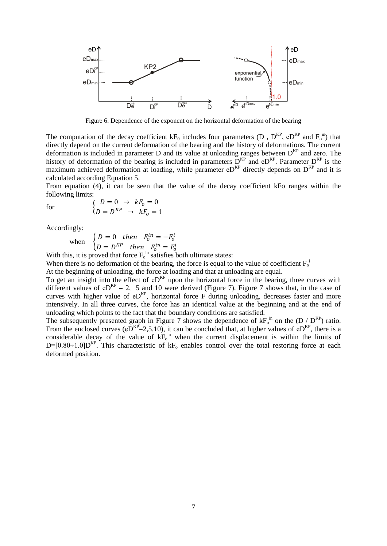

Figure 6. Dependence of the exponent on the horizontal deformation of the bearing

The computation of the decay coefficient  $kF_0$  includes four parameters (D,  $D^{KP}$ , e $D^{KP}$  and  $F_0^{\text{in}}$ ) that directly depend on the current deformation of the bearing and the history of deformations. The current deformation is included in parameter D and its value at unloading ranges between  $D^{KP}$  and zero. The history of deformation of the bearing is included in parameters  $D^{KP}$  and  $eD^{KP}$ . Parameter  $D^{KP}$  is the maximum achieved deformation at loading, while parameter  $e^{E}$  directly depends on  $D^{KP}$  and it is calculated according Equation 5.

From equation (4), it can be seen that the value of the decay coefficient kFo ranges within the following limits:

for 
$$
\begin{cases}\nD = 0 \rightarrow kF_o = 0 \\
D = D^{KP} \rightarrow kF_o = 1\n\end{cases}
$$

Accordingly:

when  $\begin{cases} D = 0 \text{ then } F_0^{in} = -F_0^i \end{cases}$  $D = D^{KP}$  then  $F_0^{in} = F_0^i$ 

With this, it is proved that force  $F_0$ <sup>in</sup> satisfies both ultimate states:

When there is no deformation of the bearing, the force is equal to the value of coefficient  $F_0$ <sup>i</sup>

At the beginning of unloading, the force at loading and that at unloading are equal.

To get an insight into the effect of  $e^{E^n}$  upon the horizontal force in the bearing, three curves with different values of  $e^{kP} = 2$ , 5 and 10 were derived (Figure 7). Figure 7 shows that, in the case of curves with higher value of  $e^{E}$ , horizontal force F during unloading, decreases faster and more intensively. In all three curves, the force has an identical value at the beginning and at the end of unloading which points to the fact that the boundary conditions are satisfied.

The subsequently presented graph in Figure 7 shows the dependence of  $kF_0^{\text{in}}$  on the (D / D<sup>KP</sup>) ratio. From the enclosed curves ( $e^{E}$ E $=$ 2,5,10), it can be concluded that, at higher values of  $e^{E}$ , there is a considerable decay of the value of  $kF_0$ <sup>in</sup> when the current displacement is within the limits of  $D=[0.80\div1.0]D<sup>KP</sup>$ . This characteristic of kF<sub>o</sub> enables control over the total restoring force at each deformed position.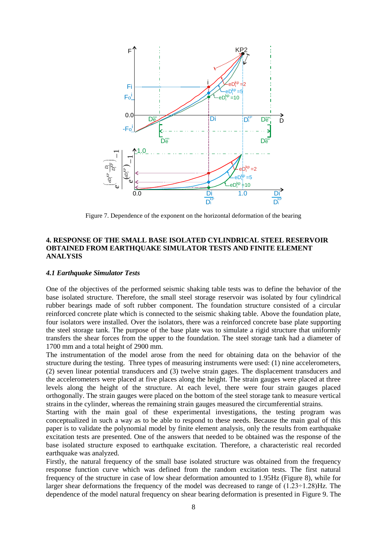

Figure 7. Dependence of the exponent on the horizontal deformation of the bearing

## **4. RESPONSE OF THE SMALL BASE ISOLATED CYLINDRICAL STEEL RESERVOIR OBTAINED FROM EARTHQUAKE SIMULATOR TESTS AND FINITE ELEMENT ANALYSIS**

#### *4.1 Earthquake Simulator Tests*

One of the objectives of the performed seismic shaking table tests was to define the behavior of the base isolated structure. Therefore, the small steel storage reservoir was isolated by four cylindrical rubber bearings made of soft rubber component. The foundation structure consisted of a circular reinforced concrete plate which is connected to the seismic shaking table. Above the foundation plate, four isolators were installed. Over the isolators, there was a reinforced concrete base plate supporting the steel storage tank. The purpose of the base plate was to simulate a rigid structure that uniformly transfers the shear forces from the upper to the foundation. The steel storage tank had a diameter of 1700 mm and a total height of 2900 mm.

The instrumentation of the model arose from the need for obtaining data on the behavior of the structure during the testing. Three types of measuring instruments were used: (1) nine accelerometers, (2) seven linear potential transducers and (3) twelve strain gages. The displacement transducers and the accelerometers were placed at five places along the height. The strain gauges were placed at three levels along the height of the structure. At each level, there were four strain gauges placed orthogonally. The strain gauges were placed on the bottom of the steel storage tank to measure vertical strains in the cylinder, whereas the remaining strain gauges measured the circumferential strains.

Starting with the main goal of these experimental investigations, the testing program was conceptualized in such a way as to be able to respond to these needs. Because the main goal of this paper is to validate the polynomial model by finite element analysis, only the results from earthquake excitation tests are presented. One of the answers that needed to be obtained was the response of the base isolated structure exposed to earthquake excitation. Therefore, a characteristic real recorded earthquake was analyzed.

Firstly, the natural frequency of the small base isolated structure was obtained from the frequency response function curve which was defined from the random excitation tests. The first natural frequency of the structure in case of low shear deformation amounted to 1.95Hz (Figure 8), while for larger shear deformations the frequency of the model was decreased to range of  $(1.23 \div 1.28)$ Hz. The dependence of the model natural frequency on shear bearing deformation is presented in Figure 9. The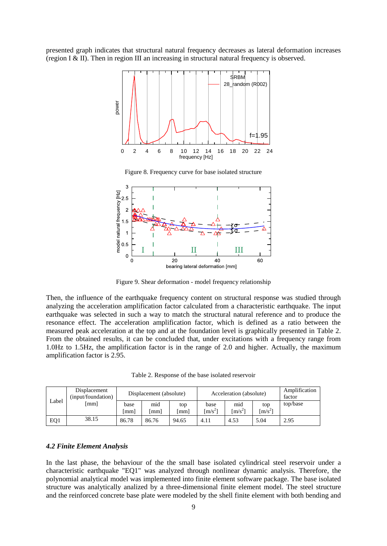presented graph indicates that structural natural frequency decreases as lateral deformation increases (region I & II). Then in region III an increasing in structural natural frequency is observed.



Figure 8. Frequency curve for base isolated structure



Figure 9. Shear deformation - model frequency relationship

Then, the influence of the earthquake frequency content on structural response was studied through analyzing the acceleration amplification factor calculated from a characteristic earthquake. The input earthquake was selected in such a way to match the structural natural reference and to produce the resonance effect. The acceleration amplification factor, which is defined as a ratio between the measured peak acceleration at the top and at the foundation level is graphically presented in Table 2. From the obtained results, it can be concluded that, under excitations with a frequency range from 1.0Hz to 1.5Hz, the amplification factor is in the range of 2.0 and higher. Actually, the maximum amplification factor is 2.95.

Table 2. Response of the base isolated reservoir

|       | Displacement<br>(input/foundation) | Displacement (absolute) |           | Acceleration (absolute) |                                      |                                    | Amplification<br>factor      |          |
|-------|------------------------------------|-------------------------|-----------|-------------------------|--------------------------------------|------------------------------------|------------------------------|----------|
| Label | [mm]                               | base<br>[mm]            | mid<br>mm | top<br>[mm]             | base<br>$\left(\frac{m}{s^2}\right)$ | mid<br>$\left[\text{m/s}^2\right]$ | top<br>$\lceil m/s^2 \rceil$ | top/base |
| EQ1   | 38.15                              | 86.78                   | 86.76     | 94.65                   | 4.11                                 | 4.53                               | 5.04                         | 2.95     |

#### *4.2 Finite Element Analysis*

In the last phase, the behaviour of the the small base isolated cylindrical steel reservoir under a characteristic earthquake "EQ1" was analyzed through nonlinear dynamic analysis. Therefore, the polynomial analytical model was implemented into finite element software package. The base isolated structure was analytically analized by a three-dimensional finite element model. The steel structure and the reinforced concrete base plate were modeled by the shell finite element with both bending and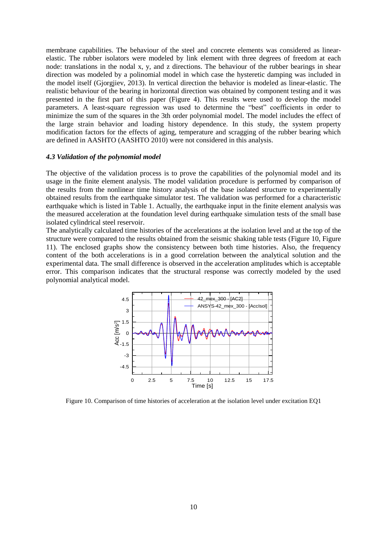membrane capabilities. The behaviour of the steel and concrete elements was considered as linearelastic. The rubber isolators were modeled by link element with three degrees of freedom at each node: translations in the nodal x, y, and z directions. The behaviour of the rubber bearings in shear direction was modeled by a polinomial model in which case the hysteretic damping was included in the model itself (Gjorgjiev, 2013). In vertical direction the behavior is modeled as linear-elastic. The realistic behaviour of the bearing in horizontal direction was obtained by component testing and it was presented in the first part of this paper (Figure 4). This results were used to develop the model parameters. A least-square regression was used to determine the "best" coefficients in order to minimize the sum of the squares in the 3th order polynomial model. The model includes the effect of the large strain behavior and loading history dependence. In this study, the system property modification factors for the effects of aging, temperature and scragging of the rubber bearing which are defined in AASHTO (AASHTO 2010) were not considered in this analysis.

#### *4.3 Validation of the polynomial model*

The objective of the validation process is to prove the capabilities of the polynomial model and its usage in the finite element analysis. The model validation procedure is performed by comparison of the results from the nonlinear time history analysis of the base isolated structure to experimentally obtained results from the earthquake simulator test. The validation was performed for a characteristic earthquake which is listed in Table 1. Actually, the earthquake input in the finite element analysis was the measured acceleration at the foundation level during earthquake simulation tests of the small base isolated cylindrical steel reservoir.

The analytically calculated time histories of the accelerations at the isolation level and at the top of the structure were compared to the results obtained from the seismic shaking table tests (Figure 10, Figure 11). The enclosed graphs show the consistency between both time histories. Also, the frequency content of the both accelerations is in a good correlation between the analytical solution and the experimental data. The small difference is observed in the acceleration amplitudes which is acceptable error. This comparison indicates that the structural response was correctly modeled by the used polynomial analytical model.



Figure 10. Comparison of time histories of acceleration at the isolation level under excitation EQ1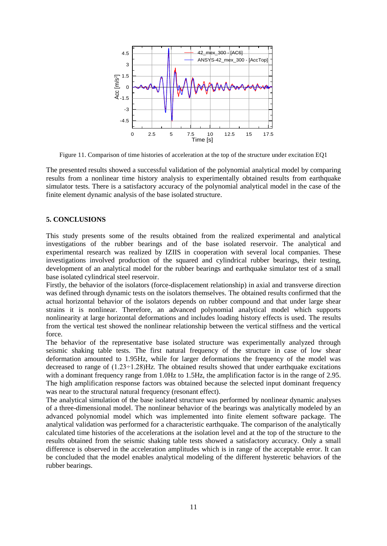

Figure 11. Comparison of time histories of acceleration at the top of the structure under excitation EQ1

The presented results showed a successful validation of the polynomial analytical model by comparing results from a nonlinear time history analysis to experimentally obtained results from earthquake simulator tests. There is a satisfactory accuracy of the polynomial analytical model in the case of the finite element dynamic analysis of the base isolated structure.

## **5. CONCLUSIONS**

This study presents some of the results obtained from the realized experimental and analytical investigations of the rubber bearings and of the base isolated reservoir. The analytical and experimental research was realized by IZIIS in cooperation with several local companies. These investigations involved production of the squared and cylindrical rubber bearings, their testing, development of an analytical model for the rubber bearings and earthquake simulator test of a small base isolated cylindrical steel reservoir.

Firstly, the behavior of the isolators (force-displacement relationship) in axial and transverse direction was defined through dynamic tests on the isolators themselves. The obtained results confirmed that the actual horizontal behavior of the isolators depends on rubber compound and that under large shear strains it is nonlinear. Therefore, an advanced polynomial analytical model which supports nonlinearity at large horizontal deformations and includes loading history effects is used. The results from the vertical test showed the nonlinear relationship between the vertical stiffness and the vertical force.

The behavior of the representative base isolated structure was experimentally analyzed through seismic shaking table tests. The first natural frequency of the structure in case of low shear deformation amounted to 1.95Hz, while for larger deformations the frequency of the model was decreased to range of  $(1.23 \div 1.28)$  Hz. The obtained results showed that under earthquake excitations with a dominant frequency range from 1.0Hz to 1.5Hz, the amplification factor is in the range of 2.95. The high amplification response factors was obtained because the selected input dominant frequency was near to the structural natural frequency (resonant effect).

The analytical simulation of the base isolated structure was performed by nonlinear dynamic analyses of a three-dimensional model. The nonlinear behavior of the bearings was analytically modeled by an advanced polynomial model which was implemented into finite element software package. The analytical validation was performed for a characteristic earthquake. The comparison of the analytically calculated time histories of the accelerations at the isolation level and at the top of the structure to the results obtained from the seismic shaking table tests showed a satisfactory accuracy. Only a small difference is observed in the acceleration amplitudes which is in range of the acceptable error. It can be concluded that the model enables analytical modeling of the different hysteretic behaviors of the rubber bearings.